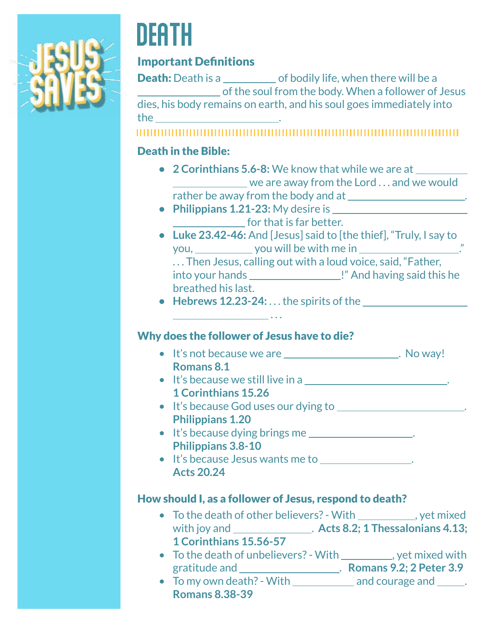

# **DEATH**

### Important Definitions

**Death:** Death is a set of bodily life, when there will be a of the soul from the body. When a follower of Jesus dies, his body remains on earth, and his soul goes immediately into the .

#### 

#### Death in the Bible:

- **• 2 Corinthians 5.6-8:** We know that while we are at we are away from the Lord . . . and we would rather be away from the body and at .
- **• Philippians 1.21-23:** My desire is **for that is far better.**
- **• Luke 23.42-46:** And [Jesus] said to [the thief], "Truly, I say to you, you will be with me in ."

. . . Then Jesus, calling out with a loud voice, said, "Father,

into your hands !" And having said this he breathed his last.

**• Hebrews 12.23-24:** . . . the spirits of the

#### Why does the follower of Jesus have to die?

. . .

- It's not because we are \_\_\_\_\_\_\_\_\_\_\_\_\_\_\_\_\_\_\_\_\_\_. No way! **Romans 8.1**
- It's because we still live in a \_\_\_\_\_\_\_\_\_\_\_\_\_\_\_\_\_\_\_\_\_\_\_\_\_\_\_\_. **1 Corinthians 15.26**
- It's because God uses our dying to \_\_\_\_\_\_\_\_\_\_\_\_\_\_\_\_\_\_\_\_\_\_. **Philippians 1.20**
- It's because dying brings me **Philippians 3.8-10**
- It's because Jesus wants me to . **Acts 20.24**

#### How should I, as a follower of Jesus, respond to death?

- To the death of other believers? With \_\_\_\_\_\_\_\_\_\_, yet mixed with joy and **... <b>Acts 8.2**; 1 Thessalonians 4.13; **1 Corinthians 15.56-57**
- To the death of unbelievers? With \_\_\_\_\_\_\_\_\_, yet mixed with gratitude and . **Romans 9.2; 2 Peter 3.9**
- To my own death? With  $\frac{1}{\sqrt{1-\frac{1}{n}}}$  and courage and  $\frac{1}{\sqrt{1-\frac{1}{n}}}$ . **Romans 8.38-39**